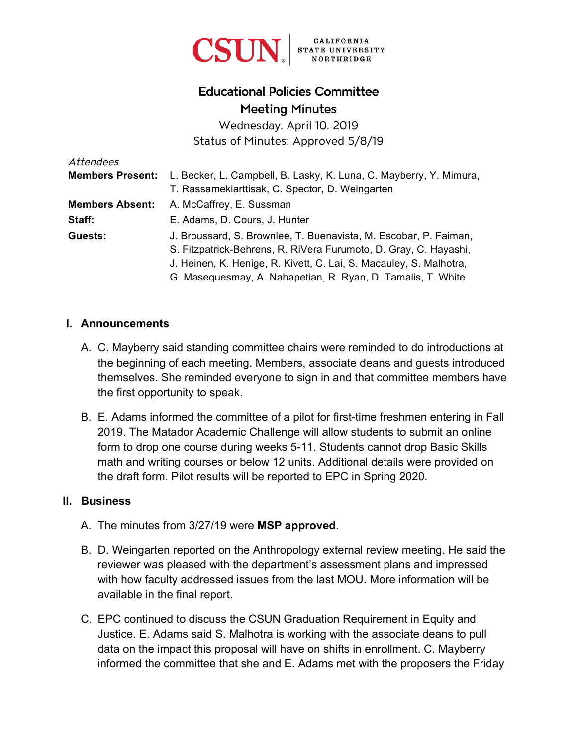

# Educational Policies Committee Meeting Minutes

Wednesday, April 10, 2019 Status of Minutes: Approved 5/8/19

| Attendees               |                                                                    |
|-------------------------|--------------------------------------------------------------------|
| <b>Members Present:</b> | L. Becker, L. Campbell, B. Lasky, K. Luna, C. Mayberry, Y. Mimura, |
|                         | T. Rassamekiarttisak, C. Spector, D. Weingarten                    |
| <b>Members Absent:</b>  | A. McCaffrey, E. Sussman                                           |
| Staff:                  | E. Adams, D. Cours, J. Hunter                                      |
| Guests:                 | J. Broussard, S. Brownlee, T. Buenavista, M. Escobar, P. Faiman,   |
|                         | S. Fitzpatrick-Behrens, R. RiVera Furumoto, D. Gray, C. Hayashi,   |
|                         | J. Heinen, K. Henige, R. Kivett, C. Lai, S. Macauley, S. Malhotra, |
|                         | G. Masequesmay, A. Nahapetian, R. Ryan, D. Tamalis, T. White       |

#### **I. Announcements**

- A. C. Mayberry said standing committee chairs were reminded to do introductions at the beginning of each meeting. Members, associate deans and guests introduced themselves. She reminded everyone to sign in and that committee members have the first opportunity to speak.
- B. E. Adams informed the committee of a pilot for first-time freshmen entering in Fall 2019. The Matador Academic Challenge will allow students to submit an online form to drop one course during weeks 5-11. Students cannot drop Basic Skills math and writing courses or below 12 units. Additional details were provided on the draft form. Pilot results will be reported to EPC in Spring 2020.

#### **II. Business**

- A. The minutes from 3/27/19 were **MSP approved**.
- B. D. Weingarten reported on the Anthropology external review meeting. He said the reviewer was pleased with the department's assessment plans and impressed with how faculty addressed issues from the last MOU. More information will be available in the final report.
- C. EPC continued to discuss the CSUN Graduation Requirement in Equity and Justice. E. Adams said S. Malhotra is working with the associate deans to pull data on the impact this proposal will have on shifts in enrollment. C. Mayberry informed the committee that she and E. Adams met with the proposers the Friday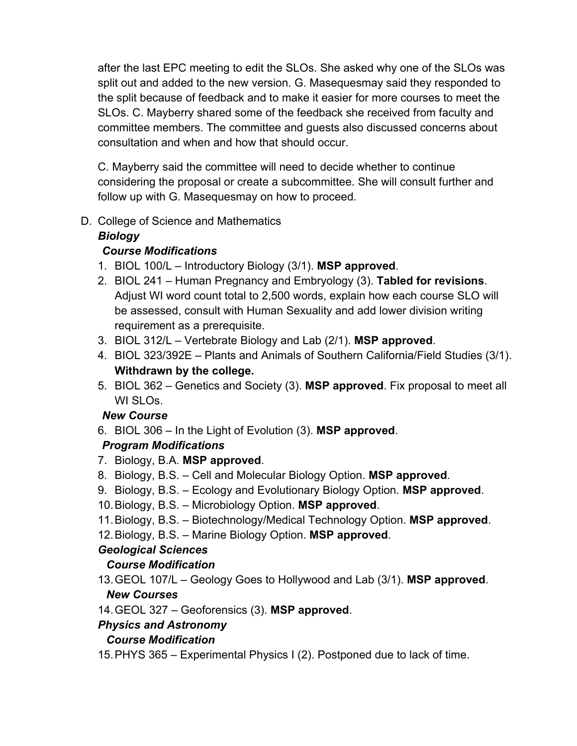after the last EPC meeting to edit the SLOs. She asked why one of the SLOs was split out and added to the new version. G. Masequesmay said they responded to the split because of feedback and to make it easier for more courses to meet the SLOs. C. Mayberry shared some of the feedback she received from faculty and committee members. The committee and guests also discussed concerns about consultation and when and how that should occur.

C. Mayberry said the committee will need to decide whether to continue considering the proposal or create a subcommittee. She will consult further and follow up with G. Masequesmay on how to proceed.

D. College of Science and Mathematics

### *Biology*

### *Course Modifications*

- 1. BIOL 100/L Introductory Biology (3/1). **MSP approved**.
- 2. BIOL 241 Human Pregnancy and Embryology (3). **Tabled for revisions**. Adjust WI word count total to 2,500 words, explain how each course SLO will be assessed, consult with Human Sexuality and add lower division writing requirement as a prerequisite.
- 3. BIOL 312/L Vertebrate Biology and Lab (2/1). **MSP approved**.
- 4. BIOL 323/392E Plants and Animals of Southern California/Field Studies (3/1). **Withdrawn by the college.**
- 5. BIOL 362 Genetics and Society (3). **MSP approved**. Fix proposal to meet all WI SLOs.

### *New Course*

6. BIOL 306 – In the Light of Evolution (3). **MSP approved**.

## *Program Modifications*

- 7. Biology, B.A. **MSP approved**.
- 8. Biology, B.S. Cell and Molecular Biology Option. **MSP approved**.
- 9. Biology, B.S. Ecology and Evolutionary Biology Option. **MSP approved**.
- 10. Biology, B.S. Microbiology Option. **MSP approved**.
- 11. Biology, B.S. Biotechnology/Medical Technology Option. **MSP approved**.
- 12. Biology, B.S. Marine Biology Option. **MSP approved**.

## *Geological Sciences*

## *Course Modification*

- 13. GEOL 107/L Geology Goes to Hollywood and Lab (3/1). **MSP approved**. *New Courses*
- 14. GEOL 327 Geoforensics (3). **MSP approved**.

## *Physics and Astronomy*

## *Course Modification*

15. PHYS 365 – Experimental Physics I (2). Postponed due to lack of time.